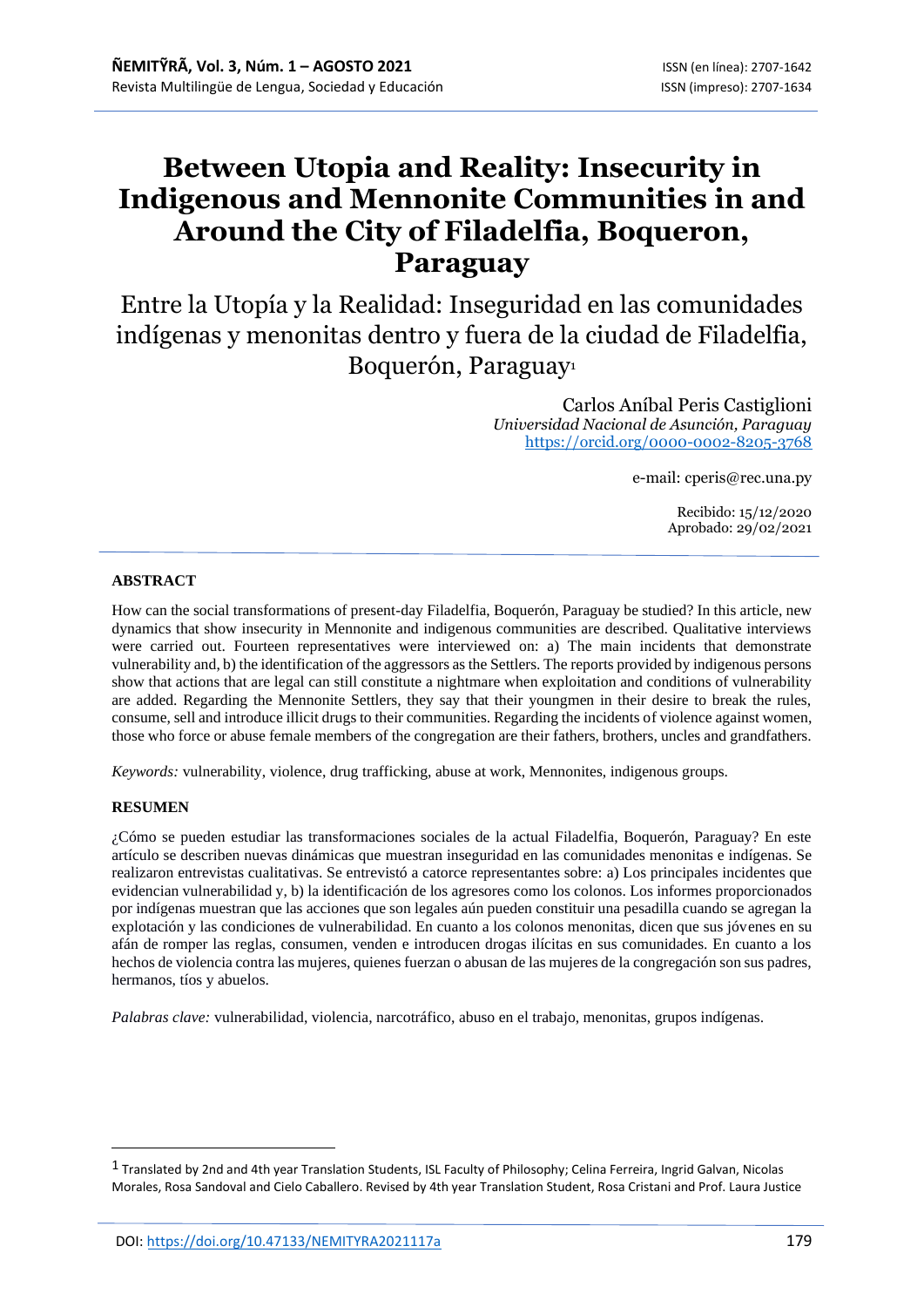# **Between Utopia and Reality: Insecurity in Indigenous and Mennonite Communities in and Around the City of Filadelfia, Boqueron, Paraguay**

Entre la Utopía y la Realidad: Inseguridad en las comunidades indígenas y menonitas dentro y fuera de la ciudad de Filadelfia, Boquerón, Paraguay<sup>1</sup>

> Carlos Aníbal Peris Castiglioni *Universidad Nacional de Asunción, Paraguay* <https://orcid.org/0000-0002-8205-3768>

> > e-mail: cperis@rec.una.py

Recibido: 15/12/2020 Aprobado: 29/02/2021

#### **ABSTRACT**

How can the social transformations of present-day Filadelfia, Boquerón, Paraguay be studied? In this article, new dynamics that show insecurity in Mennonite and indigenous communities are described. Qualitative interviews were carried out. Fourteen representatives were interviewed on: a) The main incidents that demonstrate vulnerability and, b) the identification of the aggressors as the Settlers. The reports provided by indigenous persons show that actions that are legal can still constitute a nightmare when exploitation and conditions of vulnerability are added. Regarding the Mennonite Settlers, they say that their youngmen in their desire to break the rules, consume, sell and introduce illicit drugs to their communities. Regarding the incidents of violence against women, those who force or abuse female members of the congregation are their fathers, brothers, uncles and grandfathers.

*Keywords:* vulnerability, violence, drug trafficking, abuse at work, Mennonites, indigenous groups.

#### **RESUMEN**

¿Cómo se pueden estudiar las transformaciones sociales de la actual Filadelfia, Boquerón, Paraguay? En este artículo se describen nuevas dinámicas que muestran inseguridad en las comunidades menonitas e indígenas. Se realizaron entrevistas cualitativas. Se entrevistó a catorce representantes sobre: a) Los principales incidentes que evidencian vulnerabilidad y, b) la identificación de los agresores como los colonos. Los informes proporcionados por indígenas muestran que las acciones que son legales aún pueden constituir una pesadilla cuando se agregan la explotación y las condiciones de vulnerabilidad. En cuanto a los colonos menonitas, dicen que sus jóvenes en su afán de romper las reglas, consumen, venden e introducen drogas ilícitas en sus comunidades. En cuanto a los hechos de violencia contra las mujeres, quienes fuerzan o abusan de las mujeres de la congregación son sus padres, hermanos, tíos y abuelos.

*Palabras clave:* vulnerabilidad, violencia, narcotráfico, abuso en el trabajo, menonitas, grupos indígenas.

<sup>1</sup> Translated by 2nd and 4th year Translation Students, ISL Faculty of Philosophy; Celina Ferreira, Ingrid Galvan, Nicolas Morales, Rosa Sandoval and Cielo Caballero. Revised by 4th year Translation Student, Rosa Cristani and Prof. Laura Justice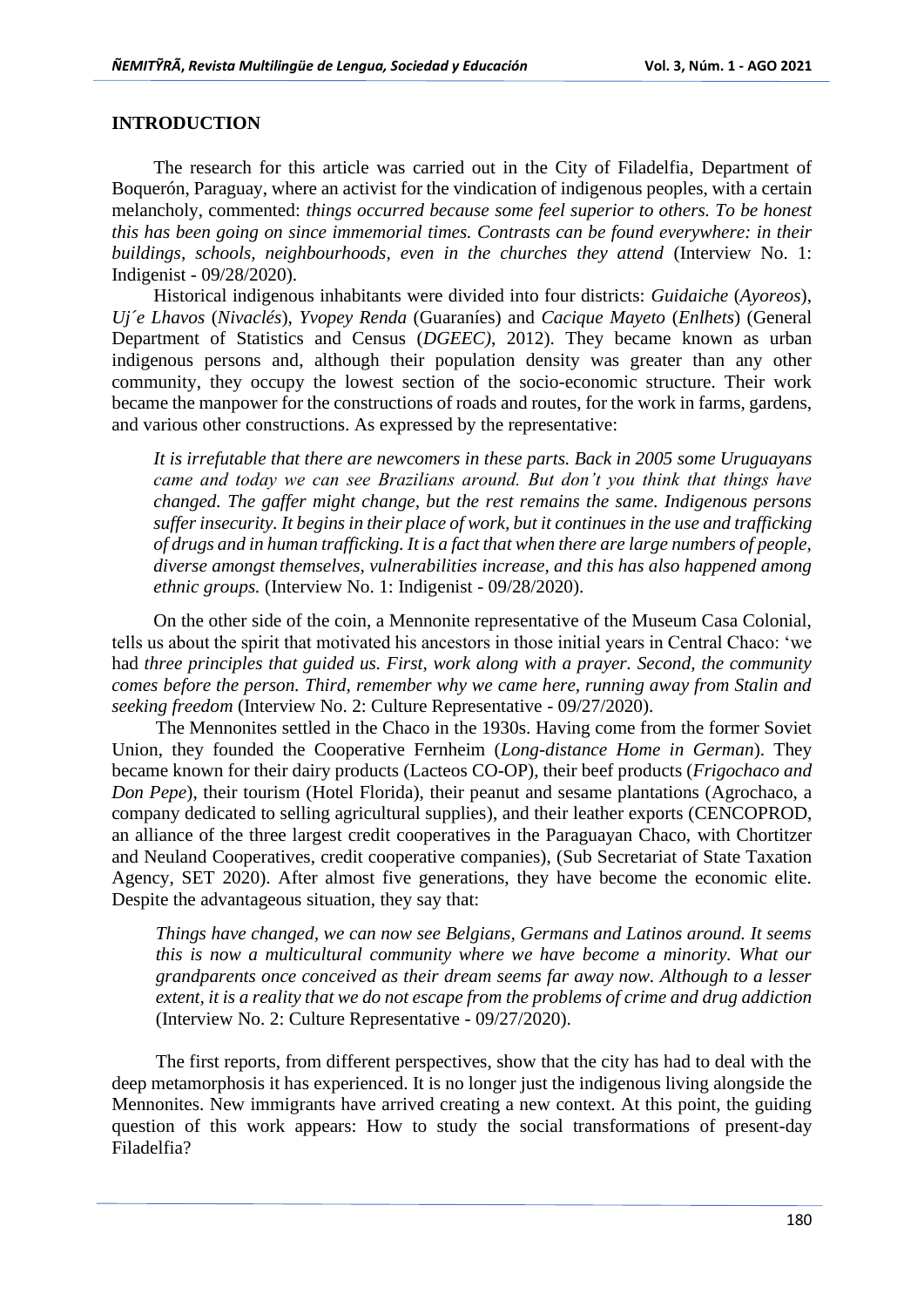## **INTRODUCTION**

The research for this article was carried out in the City of Filadelfia, Department of Boquerón, Paraguay, where an activist for the vindication of indigenous peoples, with a certain melancholy, commented: *things occurred because some feel superior to others. To be honest this has been going on since immemorial times. Contrasts can be found everywhere: in their buildings, schools, neighbourhoods, even in the churches they attend* (Interview No. 1: Indigenist - 09/28/2020).

Historical indigenous inhabitants were divided into four districts: *Guidaiche* (*Ayoreos*), *Uj´e Lhavos* (*Nivaclés*), *Yvopey Renda* (Guaraníes) and *Cacique Mayeto* (*Enlhets*) (General Department of Statistics and Census (*DGEEC)*, 2012). They became known as urban indigenous persons and, although their population density was greater than any other community, they occupy the lowest section of the socio-economic structure. Their work became the manpower for the constructions of roads and routes, for the work in farms, gardens, and various other constructions. As expressed by the representative:

*It is irrefutable that there are newcomers in these parts. Back in 2005 some Uruguayans came and today we can see Brazilians around. But don't you think that things have changed. The gaffer might change, but the rest remains the same. Indigenous persons suffer insecurity. It begins in their place of work, but it continues in the use and trafficking of drugs and in human trafficking. It is a fact that when there are large numbers of people, diverse amongst themselves, vulnerabilities increase, and this has also happened among ethnic groups.* (Interview No. 1: Indigenist - 09/28/2020).

On the other side of the coin, a Mennonite representative of the Museum Casa Colonial, tells us about the spirit that motivated his ancestors in those initial years in Central Chaco: 'we had *three principles that guided us. First, work along with a prayer. Second, the community comes before the person. Third, remember why we came here, running away from Stalin and seeking freedom* (Interview No. 2: Culture Representative - 09/27/2020).

The Mennonites settled in the Chaco in the 1930s. Having come from the former Soviet Union, they founded the Cooperative Fernheim (*Long-distance Home in German*). They became known for their dairy products (Lacteos CO-OP), their beef products (*Frigochaco and Don Pepe*), their tourism (Hotel Florida), their peanut and sesame plantations (Agrochaco, a company dedicated to selling agricultural supplies), and their leather exports (CENCOPROD, an alliance of the three largest credit cooperatives in the Paraguayan Chaco, with Chortitzer and Neuland Cooperatives, credit cooperative companies), (Sub Secretariat of State Taxation Agency, SET 2020). After almost five generations, they have become the economic elite. Despite the advantageous situation, they say that:

*Things have changed, we can now see Belgians, Germans and Latinos around. It seems this is now a multicultural community where we have become a minority. What our grandparents once conceived as their dream seems far away now. Although to a lesser extent, it is a reality that we do not escape from the problems of crime and drug addiction*  (Interview No. 2: Culture Representative - 09/27/2020).

The first reports, from different perspectives, show that the city has had to deal with the deep metamorphosis it has experienced. It is no longer just the indigenous living alongside the Mennonites. New immigrants have arrived creating a new context. At this point, the guiding question of this work appears: How to study the social transformations of present-day Filadelfia?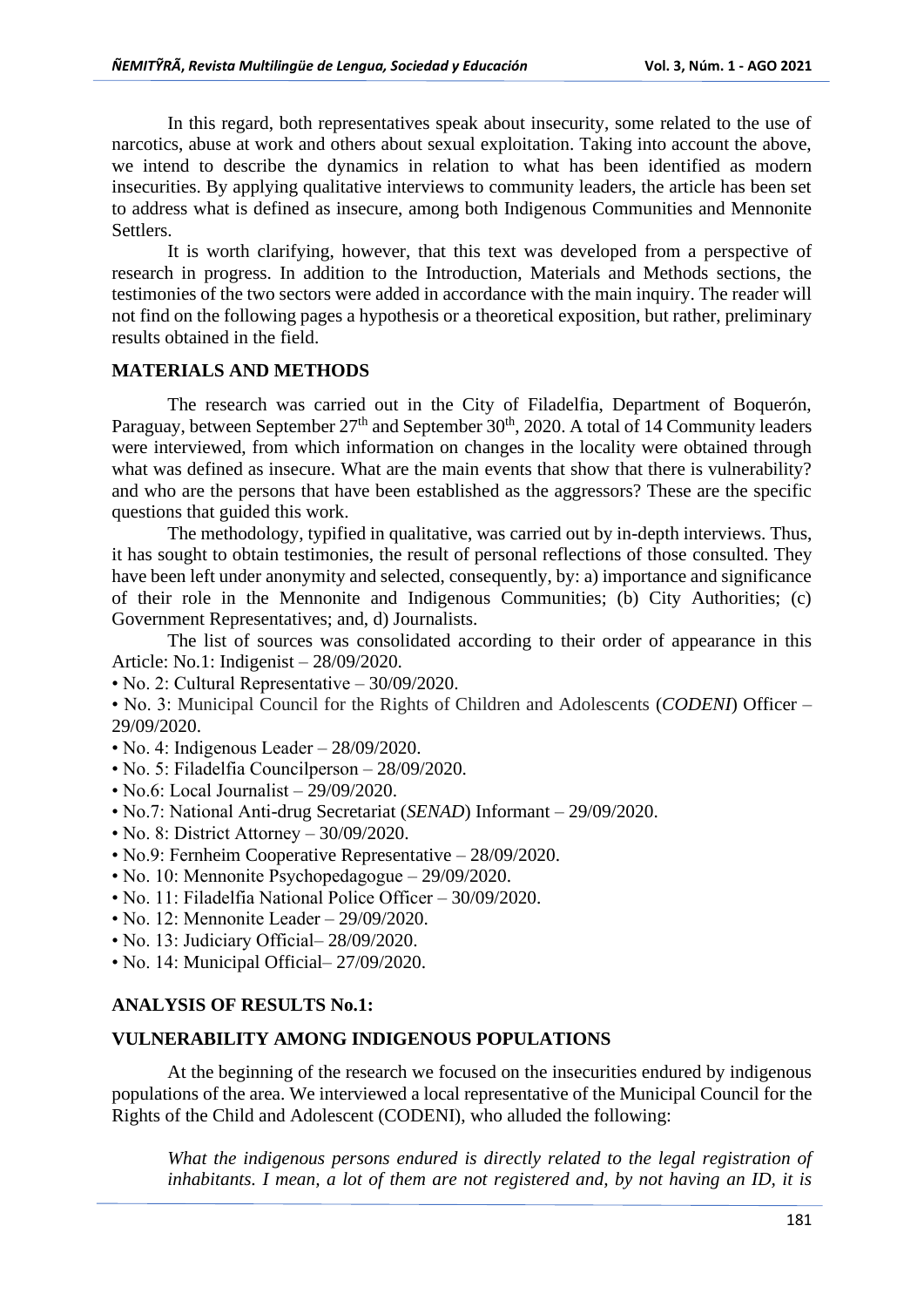In this regard, both representatives speak about insecurity, some related to the use of narcotics, abuse at work and others about sexual exploitation. Taking into account the above, we intend to describe the dynamics in relation to what has been identified as modern insecurities. By applying qualitative interviews to community leaders, the article has been set to address what is defined as insecure, among both Indigenous Communities and Mennonite Settlers.

It is worth clarifying, however, that this text was developed from a perspective of research in progress. In addition to the Introduction, Materials and Methods sections, the testimonies of the two sectors were added in accordance with the main inquiry. The reader will not find on the following pages a hypothesis or a theoretical exposition, but rather, preliminary results obtained in the field.

## **MATERIALS AND METHODS**

The research was carried out in the City of Filadelfia, Department of Boquerón, Paraguay, between September 27<sup>th</sup> and September 30<sup>th</sup>, 2020. A total of 14 Community leaders were interviewed, from which information on changes in the locality were obtained through what was defined as insecure. What are the main events that show that there is vulnerability? and who are the persons that have been established as the aggressors? These are the specific questions that guided this work.

The methodology, typified in qualitative, was carried out by in-depth interviews. Thus, it has sought to obtain testimonies, the result of personal reflections of those consulted. They have been left under anonymity and selected, consequently, by: a) importance and significance of their role in the Mennonite and Indigenous Communities; (b) City Authorities; (c) Government Representatives; and, d) Journalists.

The list of sources was consolidated according to their order of appearance in this Article: No.1: Indigenist – 28/09/2020.

• No. 2: Cultural Representative – 30/09/2020.

• No. 3: Municipal Council for the Rights of Children and Adolescents (*CODENI*) Officer – 29/09/2020.

- No. 4: Indigenous Leader 28/09/2020.
- No. 5: Filadelfia Councilperson 28/09/2020.
- No.6: Local Journalist 29/09/2020.
- No.7: National Anti-drug Secretariat (*SENAD*) Informant 29/09/2020.
- No. 8: District Attorney 30/09/2020.
- No.9: Fernheim Cooperative Representative 28/09/2020.
- No. 10: Mennonite Psychopedagogue 29/09/2020.
- No. 11: Filadelfia National Police Officer 30/09/2020.
- No. 12: Mennonite Leader 29/09/2020.
- No. 13: Judiciary Official 28/09/2020.
- No. 14: Municipal Official– 27/09/2020.

## **ANALYSIS OF RESULTS No.1:**

#### **VULNERABILITY AMONG INDIGENOUS POPULATIONS**

At the beginning of the research we focused on the insecurities endured by indigenous populations of the area. We interviewed a local representative of the Municipal Council for the Rights of the Child and Adolescent (CODENI), who alluded the following:

What the indigenous persons endured is directly related to the legal registration of *inhabitants. I mean, a lot of them are not registered and, by not having an ID, it is*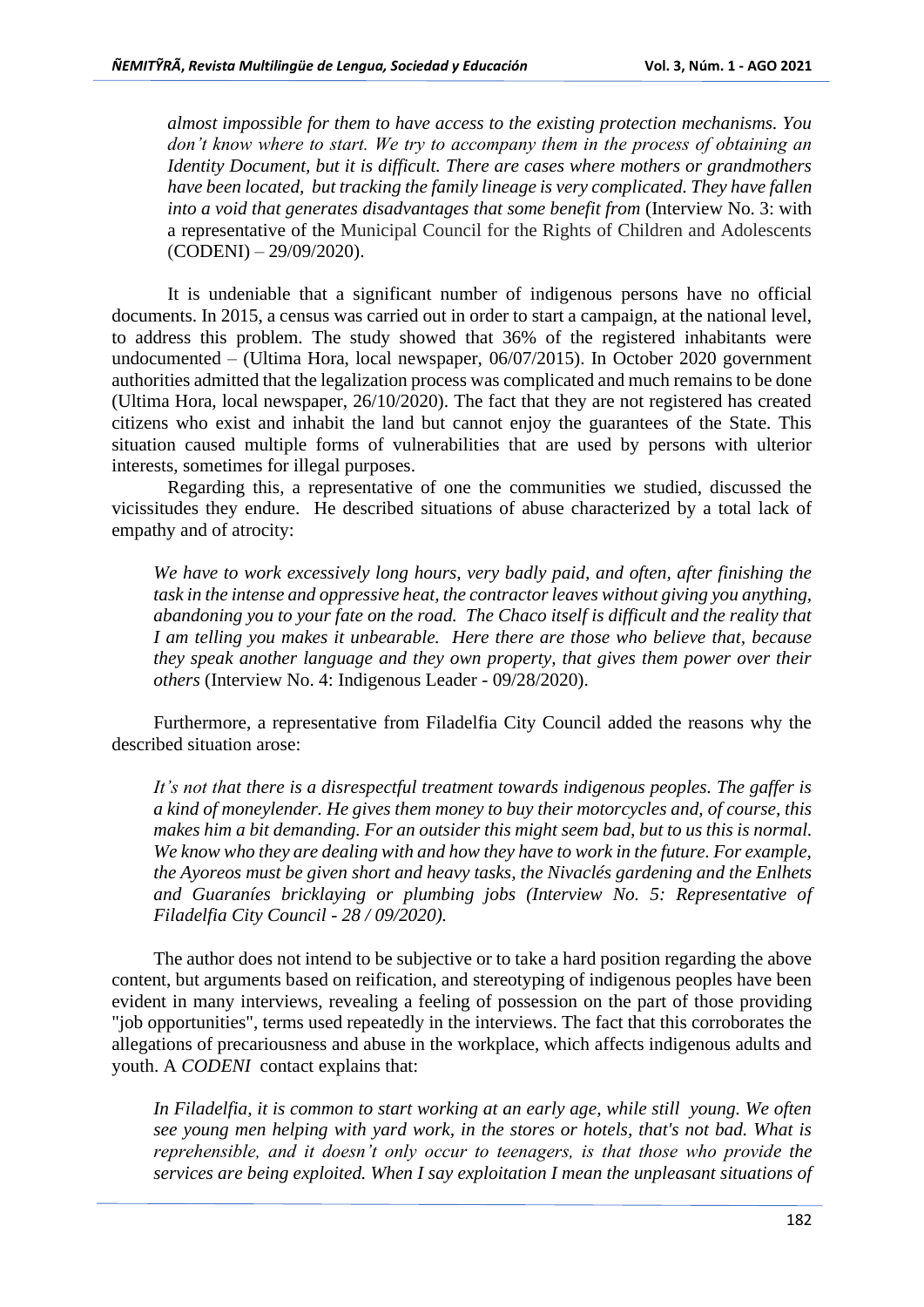*almost impossible for them to have access to the existing protection mechanisms. You don't know where to start. We try to accompany them in the process of obtaining an Identity Document, but it is difficult. There are cases where mothers or grandmothers have been located, but tracking the family lineage is very complicated. They have fallen into a void that generates disadvantages that some benefit from* (Interview No. 3: with a representative of the Municipal Council for the Rights of Children and Adolescents (CODENI) – 29/09/2020).

It is undeniable that a significant number of indigenous persons have no official documents. In 2015, a census was carried out in order to start a campaign, at the national level, to address this problem. The study showed that 36% of the registered inhabitants were undocumented – (Ultima Hora, local newspaper, 06/07/2015). In October 2020 government authorities admitted that the legalization process was complicated and much remains to be done (Ultima Hora, local newspaper, 26/10/2020). The fact that they are not registered has created citizens who exist and inhabit the land but cannot enjoy the guarantees of the State. This situation caused multiple forms of vulnerabilities that are used by persons with ulterior interests, sometimes for illegal purposes.

Regarding this, a representative of one the communities we studied, discussed the vicissitudes they endure. He described situations of abuse characterized by a total lack of empathy and of atrocity:

*We have to work excessively long hours, very badly paid, and often, after finishing the task in the intense and oppressive heat, the contractor leaves without giving you anything, abandoning you to your fate on the road. The Chaco itself is difficult and the reality that I am telling you makes it unbearable. Here there are those who believe that, because they speak another language and they own property, that gives them power over their others* (Interview No. 4: Indigenous Leader - 09/28/2020).

Furthermore, a representative from Filadelfia City Council added the reasons why the described situation arose:

*It's not that there is a disrespectful treatment towards indigenous peoples. The gaffer is a kind of moneylender. He gives them money to buy their motorcycles and, of course, this makes him a bit demanding. For an outsider this might seem bad, but to us this is normal. We know who they are dealing with and how they have to work in the future. For example, the Ayoreos must be given short and heavy tasks, the Nivaclés gardening and the Enlhets and Guaraníes bricklaying or plumbing jobs (Interview No. 5: Representative of Filadelfia City Council - 28 / 09/2020).*

The author does not intend to be subjective or to take a hard position regarding the above content, but arguments based on reification, and stereotyping of indigenous peoples have been evident in many interviews, revealing a feeling of possession on the part of those providing "job opportunities", terms used repeatedly in the interviews. The fact that this corroborates the allegations of precariousness and abuse in the workplace, which affects indigenous adults and youth. A *CODENI* contact explains that:

*In Filadelfia, it is common to start working at an early age, while still young. We often see young men helping with yard work, in the stores or hotels, that's not bad. What is reprehensible, and it doesn't only occur to teenagers, is that those who provide the services are being exploited. When I say exploitation I mean the unpleasant situations of*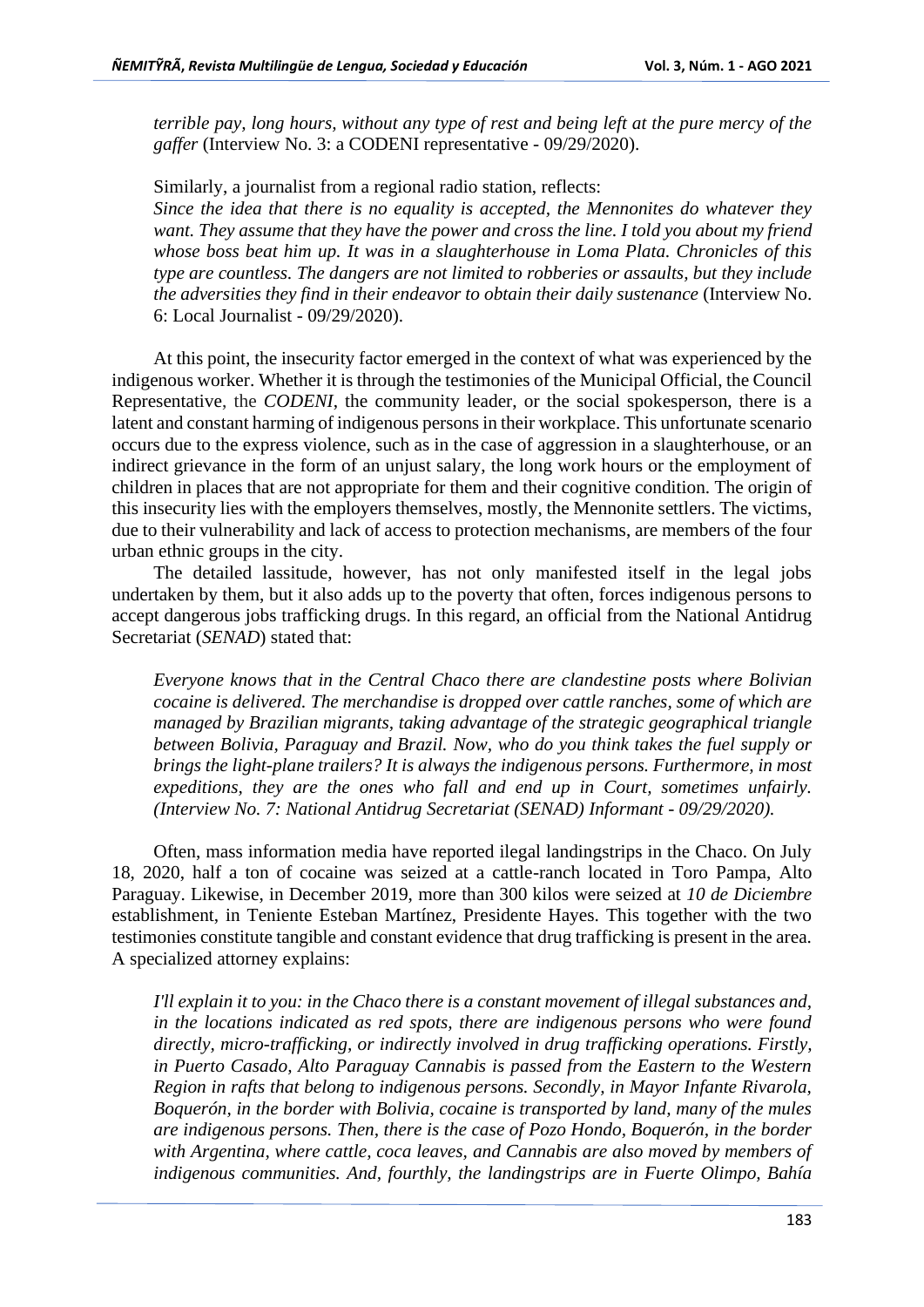*terrible pay, long hours, without any type of rest and being left at the pure mercy of the gaffer* (Interview No. 3: a CODENI representative - 09/29/2020).

Similarly, a journalist from a regional radio station, reflects: *Since the idea that there is no equality is accepted, the Mennonites do whatever they want. They assume that they have the power and cross the line. I told you about my friend whose boss beat him up. It was in a slaughterhouse in Loma Plata. Chronicles of this type are countless. The dangers are not limited to robberies or assaults, but they include the adversities they find in their endeavor to obtain their daily sustenance* (Interview No. 6: Local Journalist - 09/29/2020).

At this point, the insecurity factor emerged in the context of what was experienced by the indigenous worker. Whether it is through the testimonies of the Municipal Official, the Council Representative, the *CODENI*, the community leader, or the social spokesperson, there is a latent and constant harming of indigenous persons in their workplace. This unfortunate scenario occurs due to the express violence, such as in the case of aggression in a slaughterhouse, or an indirect grievance in the form of an unjust salary, the long work hours or the employment of children in places that are not appropriate for them and their cognitive condition. The origin of this insecurity lies with the employers themselves, mostly, the Mennonite settlers. The victims, due to their vulnerability and lack of access to protection mechanisms, are members of the four urban ethnic groups in the city.

The detailed lassitude, however, has not only manifested itself in the legal jobs undertaken by them, but it also adds up to the poverty that often, forces indigenous persons to accept dangerous jobs trafficking drugs. In this regard, an official from the National Antidrug Secretariat (*SENAD*) stated that:

*Everyone knows that in the Central Chaco there are clandestine posts where Bolivian cocaine is delivered. The merchandise is dropped over cattle ranches, some of which are managed by Brazilian migrants, taking advantage of the strategic geographical triangle between Bolivia, Paraguay and Brazil. Now, who do you think takes the fuel supply or brings the light-plane trailers? It is always the indigenous persons. Furthermore, in most expeditions, they are the ones who fall and end up in Court, sometimes unfairly. (Interview No. 7: National Antidrug Secretariat (SENAD) Informant - 09/29/2020).*

Often, mass information media have reported ilegal landingstrips in the Chaco. On July 18, 2020, half a ton of cocaine was seized at a cattle-ranch located in Toro Pampa, Alto Paraguay. Likewise, in December 2019, more than 300 kilos were seized at *10 de Diciembre* establishment, in Teniente Esteban Martínez, Presidente Hayes. This together with the two testimonies constitute tangible and constant evidence that drug trafficking is present in the area. A specialized attorney explains:

*I'll explain it to you: in the Chaco there is a constant movement of illegal substances and, in the locations indicated as red spots, there are indigenous persons who were found directly, micro-trafficking, or indirectly involved in drug trafficking operations. Firstly, in Puerto Casado, Alto Paraguay Cannabis is passed from the Eastern to the Western Region in rafts that belong to indigenous persons. Secondly, in Mayor Infante Rivarola, Boquerón, in the border with Bolivia, cocaine is transported by land, many of the mules are indigenous persons. Then, there is the case of Pozo Hondo, Boquerón, in the border with Argentina, where cattle, coca leaves, and Cannabis are also moved by members of indigenous communities. And, fourthly, the landingstrips are in Fuerte Olimpo, Bahía*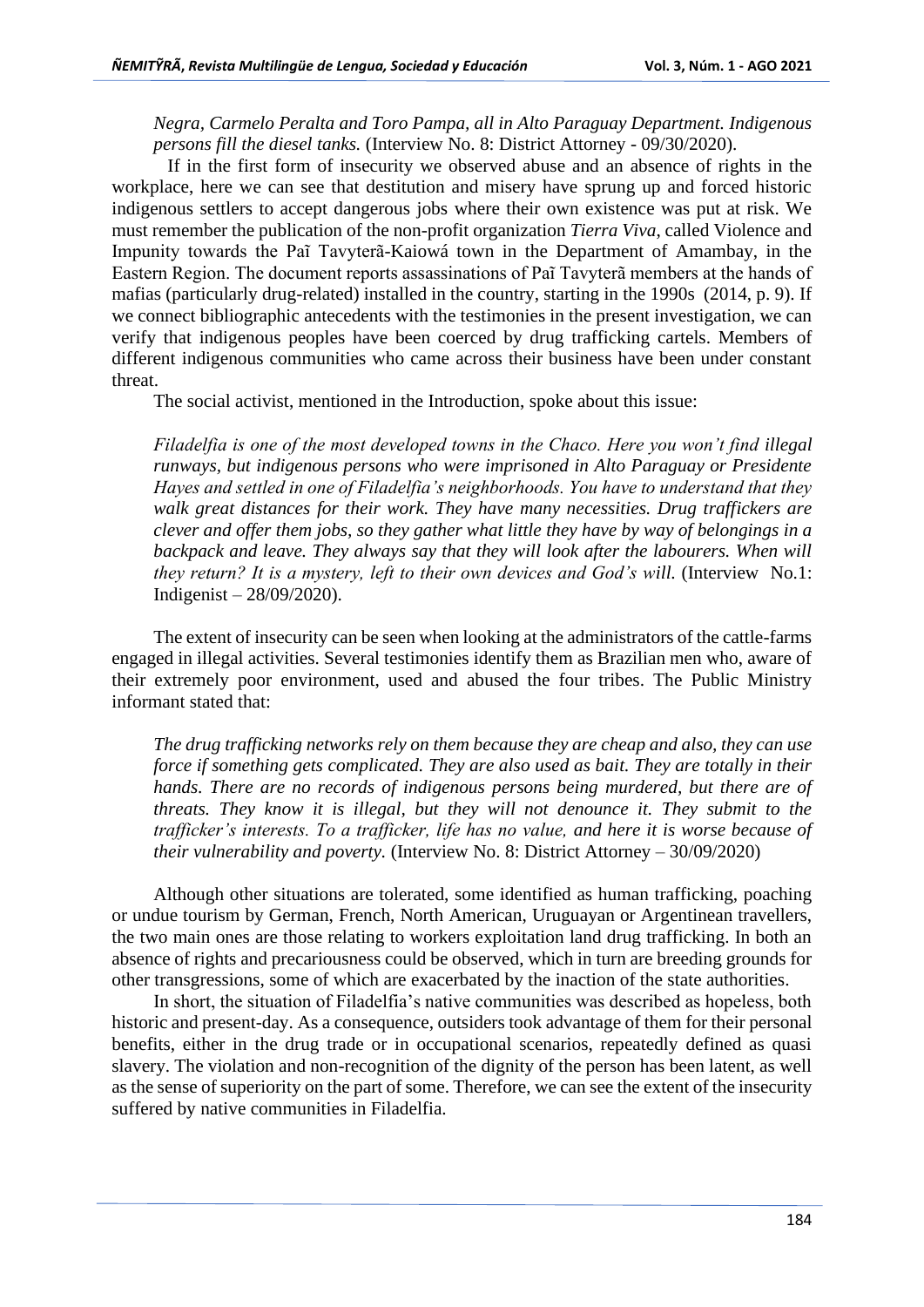*Negra, Carmelo Peralta and Toro Pampa, all in Alto Paraguay Department. Indigenous persons fill the diesel tanks.* (Interview No. 8: District Attorney - 09/30/2020).

If in the first form of insecurity we observed abuse and an absence of rights in the workplace, here we can see that destitution and misery have sprung up and forced historic indigenous settlers to accept dangerous jobs where their own existence was put at risk. We must remember the publication of the non-profit organization *Tierra Viva*, called Violence and Impunity towards the Paĩ Tavyterã-Kaiowá town in the Department of Amambay, in the Eastern Region. The document reports assassinations of Paĩ Tavyterã members at the hands of mafias (particularly drug-related) installed in the country, starting in the 1990s (2014, p. 9). If we connect bibliographic antecedents with the testimonies in the present investigation, we can verify that indigenous peoples have been coerced by drug trafficking cartels. Members of different indigenous communities who came across their business have been under constant threat.

The social activist, mentioned in the Introduction, spoke about this issue:

*Filadelfia is one of the most developed towns in the Chaco. Here you won't find illegal runways, but indigenous persons who were imprisoned in Alto Paraguay or Presidente Hayes and settled in one of Filadelfia's neighborhoods. You have to understand that they walk great distances for their work. They have many necessities. Drug traffickers are clever and offer them jobs, so they gather what little they have by way of belongings in a*  backpack and leave. They always say that they will look after the labourers. When will *they return? It is a mystery, left to their own devices and God's will.* (Interview No.1: Indigenist – 28/09/2020).

The extent of insecurity can be seen when looking at the administrators of the cattle-farms engaged in illegal activities. Several testimonies identify them as Brazilian men who, aware of their extremely poor environment, used and abused the four tribes. The Public Ministry informant stated that:

*The drug trafficking networks rely on them because they are cheap and also, they can use force if something gets complicated. They are also used as bait. They are totally in their hands. There are no records of indigenous persons being murdered, but there are of threats. They know it is illegal, but they will not denounce it. They submit to the trafficker's interests. To a trafficker, life has no value, and here it is worse because of their vulnerability and poverty.* (Interview No. 8: District Attorney – 30/09/2020)

Although other situations are tolerated, some identified as human trafficking, poaching or undue tourism by German, French, North American, Uruguayan or Argentinean travellers, the two main ones are those relating to workers exploitation land drug trafficking. In both an absence of rights and precariousness could be observed, which in turn are breeding grounds for other transgressions, some of which are exacerbated by the inaction of the state authorities.

In short, the situation of Filadelfia's native communities was described as hopeless, both historic and present-day. As a consequence, outsiders took advantage of them for their personal benefits, either in the drug trade or in occupational scenarios, repeatedly defined as quasi slavery. The violation and non-recognition of the dignity of the person has been latent, as well as the sense of superiority on the part of some. Therefore, we can see the extent of the insecurity suffered by native communities in Filadelfia.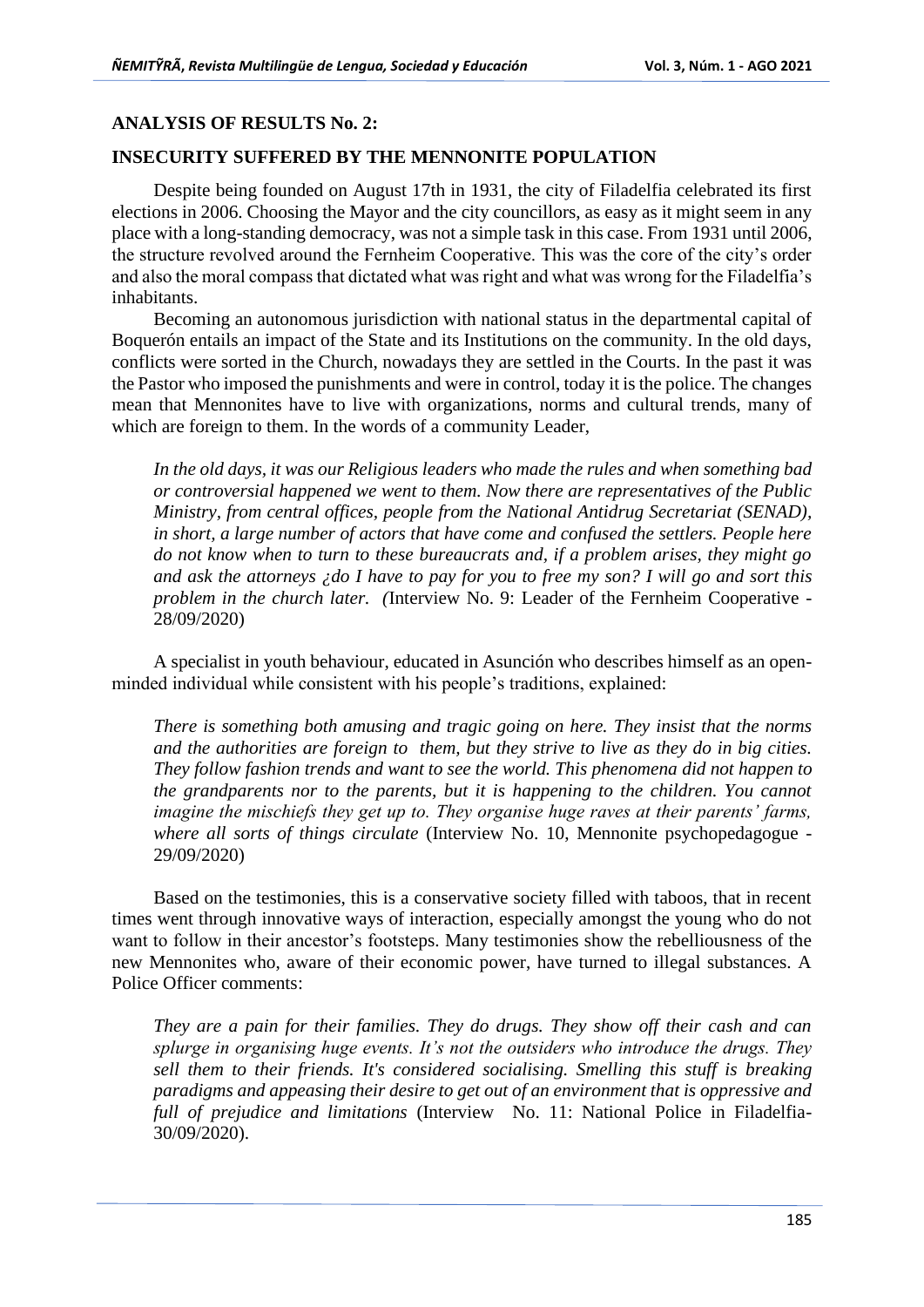# **ANALYSIS OF RESULTS No. 2:**

# **INSECURITY SUFFERED BY THE MENNONITE POPULATION**

Despite being founded on August 17th in 1931, the city of Filadelfia celebrated its first elections in 2006. Choosing the Mayor and the city councillors, as easy as it might seem in any place with a long-standing democracy, was not a simple task in this case. From 1931 until 2006, the structure revolved around the Fernheim Cooperative. This was the core of the city's order and also the moral compass that dictated what was right and what was wrong for the Filadelfia's inhabitants.

Becoming an autonomous jurisdiction with national status in the departmental capital of Boquerón entails an impact of the State and its Institutions on the community. In the old days, conflicts were sorted in the Church, nowadays they are settled in the Courts. In the past it was the Pastor who imposed the punishments and were in control, today it is the police. The changes mean that Mennonites have to live with organizations, norms and cultural trends, many of which are foreign to them. In the words of a community Leader,

*In the old days, it was our Religious leaders who made the rules and when something bad or controversial happened we went to them. Now there are representatives of the Public Ministry, from central offices, people from the National Antidrug Secretariat (SENAD), in short, a large number of actors that have come and confused the settlers. People here do not know when to turn to these bureaucrats and, if a problem arises, they might go and ask the attorneys ¿do I have to pay for you to free my son? I will go and sort this problem in the church later. (*Interview No. 9: Leader of the Fernheim Cooperative - 28/09/2020)

A specialist in youth behaviour, educated in Asunción who describes himself as an openminded individual while consistent with his people's traditions, explained:

*There is something both amusing and tragic going on here. They insist that the norms and the authorities are foreign to them, but they strive to live as they do in big cities. They follow fashion trends and want to see the world. This phenomena did not happen to the grandparents nor to the parents, but it is happening to the children. You cannot imagine the mischiefs they get up to. They organise huge raves at their parents' farms, where all sorts of things circulate* (Interview No. 10, Mennonite psychopedagogue - 29/09/2020)

Based on the testimonies, this is a conservative society filled with taboos, that in recent times went through innovative ways of interaction, especially amongst the young who do not want to follow in their ancestor's footsteps. Many testimonies show the rebelliousness of the new Mennonites who, aware of their economic power, have turned to illegal substances. A Police Officer comments:

*They are a pain for their families. They do drugs. They show off their cash and can splurge in organising huge events. It's not the outsiders who introduce the drugs. They sell them to their friends. It's considered socialising. Smelling this stuff is breaking paradigms and appeasing their desire to get out of an environment that is oppressive and full of prejudice and limitations* (Interview No. 11: National Police in Filadelfia-30/09/2020).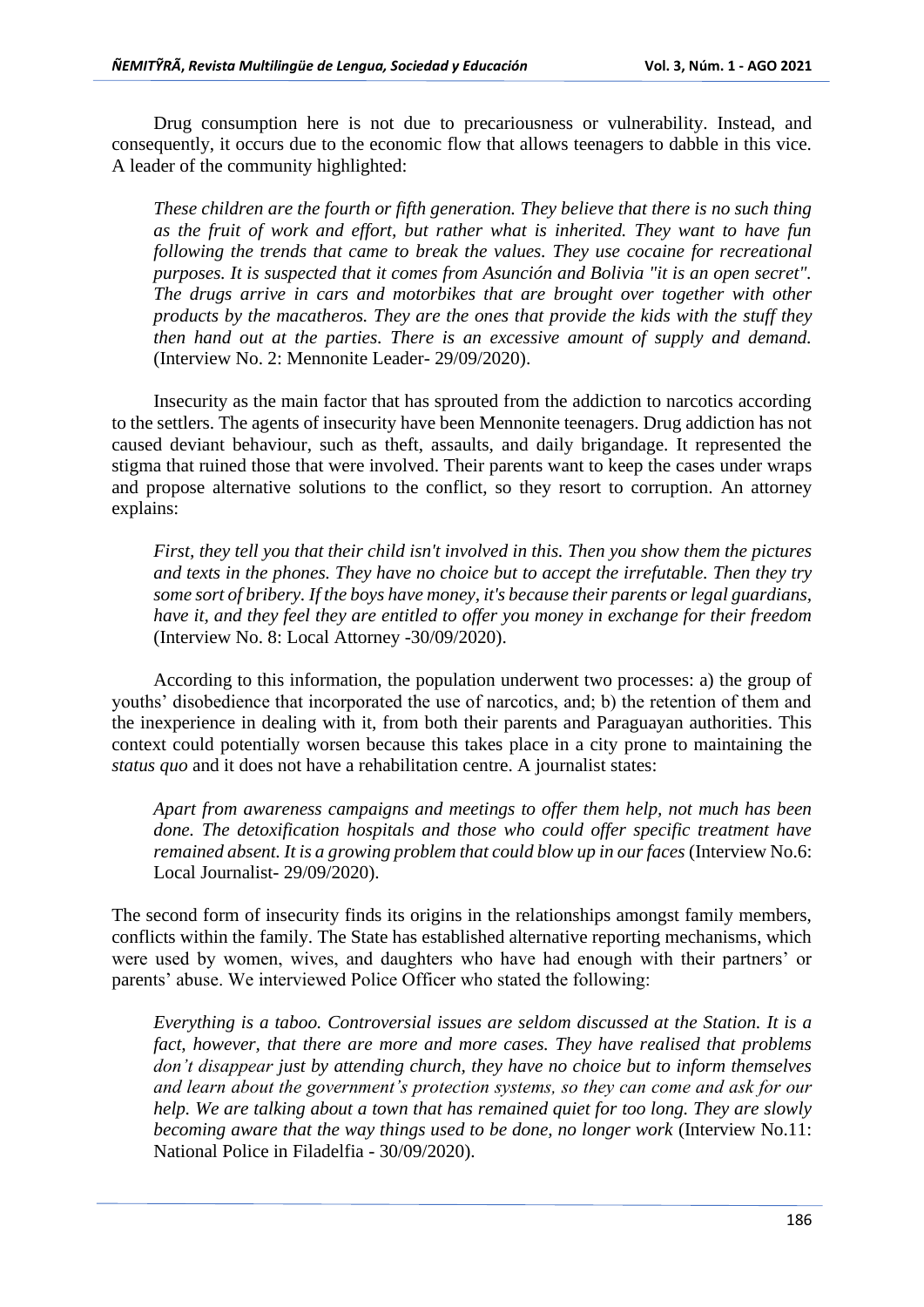Drug consumption here is not due to precariousness or vulnerability. Instead, and consequently, it occurs due to the economic flow that allows teenagers to dabble in this vice. A leader of the community highlighted:

*These children are the fourth or fifth generation. They believe that there is no such thing as the fruit of work and effort, but rather what is inherited. They want to have fun following the trends that came to break the values. They use cocaine for recreational purposes. It is suspected that it comes from Asunción and Bolivia "it is an open secret". The drugs arrive in cars and motorbikes that are brought over together with other products by the macatheros. They are the ones that provide the kids with the stuff they then hand out at the parties. There is an excessive amount of supply and demand.*  (Interview No. 2: Mennonite Leader- 29/09/2020).

Insecurity as the main factor that has sprouted from the addiction to narcotics according to the settlers. The agents of insecurity have been Mennonite teenagers. Drug addiction has not caused deviant behaviour, such as theft, assaults, and daily brigandage. It represented the stigma that ruined those that were involved. Their parents want to keep the cases under wraps and propose alternative solutions to the conflict, so they resort to corruption. An attorney explains:

*First, they tell you that their child isn't involved in this. Then you show them the pictures and texts in the phones. They have no choice but to accept the irrefutable. Then they try some sort of bribery. If the boys have money, it's because their parents or legal guardians, have it, and they feel they are entitled to offer you money in exchange for their freedom*  (Interview No. 8: Local Attorney -30/09/2020).

According to this information, the population underwent two processes: a) the group of youths' disobedience that incorporated the use of narcotics, and; b) the retention of them and the inexperience in dealing with it, from both their parents and Paraguayan authorities. This context could potentially worsen because this takes place in a city prone to maintaining the *status quo* and it does not have a rehabilitation centre. A journalist states:

*Apart from awareness campaigns and meetings to offer them help, not much has been done. The detoxification hospitals and those who could offer specific treatment have remained absent. It is a growing problem that could blow up in our faces (Interview No.6:* Local Journalist- 29/09/2020).

The second form of insecurity finds its origins in the relationships amongst family members, conflicts within the family. The State has established alternative reporting mechanisms, which were used by women, wives, and daughters who have had enough with their partners' or parents' abuse. We interviewed Police Officer who stated the following:

*Everything is a taboo. Controversial issues are seldom discussed at the Station. It is a fact, however, that there are more and more cases. They have realised that problems don't disappear just by attending church, they have no choice but to inform themselves and learn about the government's protection systems, so they can come and ask for our help. We are talking about a town that has remained quiet for too long. They are slowly becoming aware that the way things used to be done, no longer work* (Interview No.11: National Police in Filadelfia - 30/09/2020).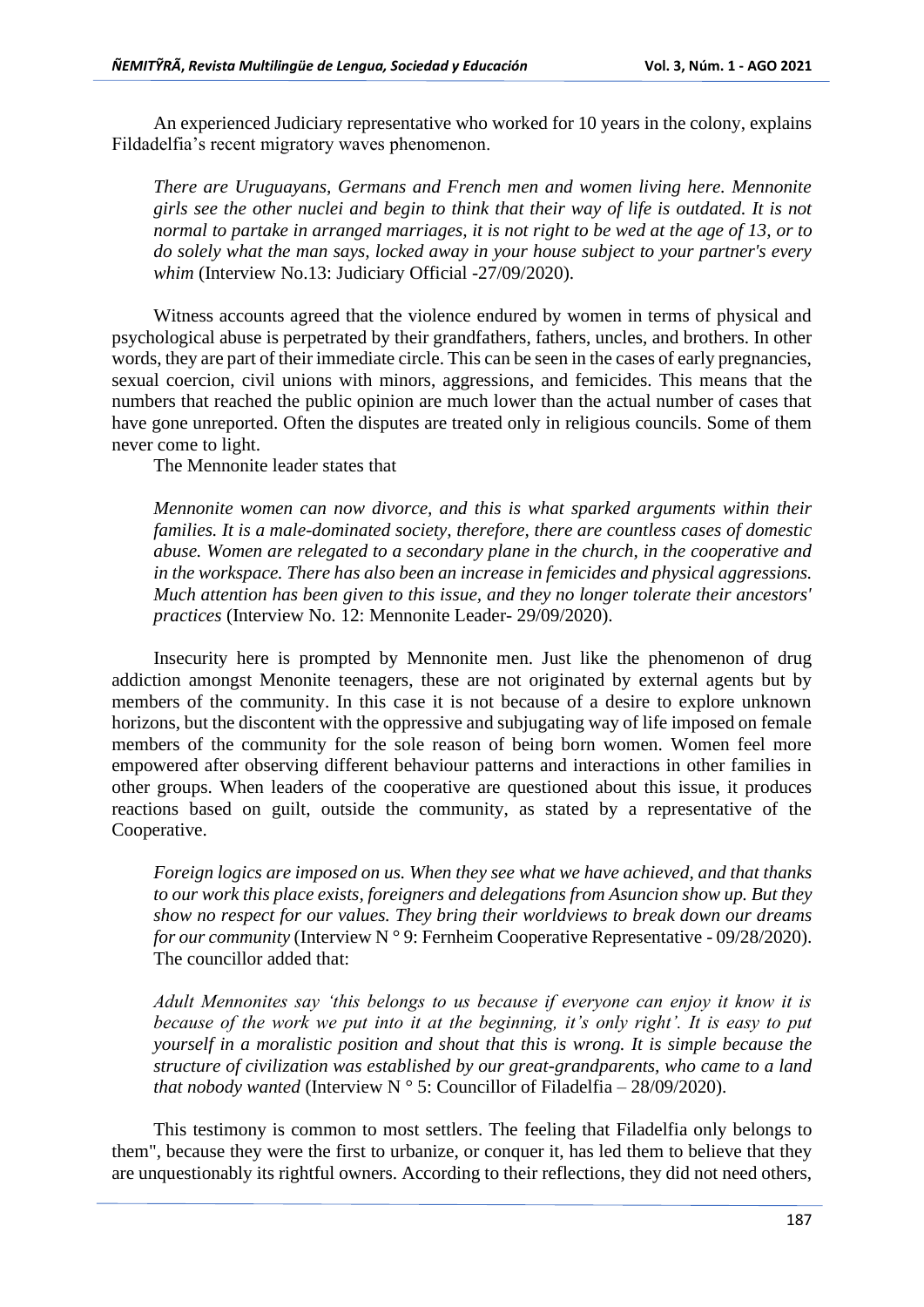An experienced Judiciary representative who worked for 10 years in the colony, explains Fildadelfia's recent migratory waves phenomenon.

*There are Uruguayans, Germans and French men and women living here. Mennonite girls see the other nuclei and begin to think that their way of life is outdated. It is not normal to partake in arranged marriages, it is not right to be wed at the age of 13, or to do solely what the man says, locked away in your house subject to your partner's every whim* (Interview No.13: Judiciary Official -27/09/2020).

Witness accounts agreed that the violence endured by women in terms of physical and psychological abuse is perpetrated by their grandfathers, fathers, uncles, and brothers. In other words, they are part of their immediate circle. This can be seen in the cases of early pregnancies, sexual coercion, civil unions with minors, aggressions, and femicides. This means that the numbers that reached the public opinion are much lower than the actual number of cases that have gone unreported. Often the disputes are treated only in religious councils. Some of them never come to light.

The Mennonite leader states that

*Mennonite women can now divorce, and this is what sparked arguments within their families. It is a male-dominated society, therefore, there are countless cases of domestic abuse. Women are relegated to a secondary plane in the church, in the cooperative and in the workspace. There has also been an increase in femicides and physical aggressions. Much attention has been given to this issue, and they no longer tolerate their ancestors' practices* (Interview No. 12: Mennonite Leader- 29/09/2020).

Insecurity here is prompted by Mennonite men. Just like the phenomenon of drug addiction amongst Menonite teenagers, these are not originated by external agents but by members of the community. In this case it is not because of a desire to explore unknown horizons, but the discontent with the oppressive and subjugating way of life imposed on female members of the community for the sole reason of being born women. Women feel more empowered after observing different behaviour patterns and interactions in other families in other groups. When leaders of the cooperative are questioned about this issue, it produces reactions based on guilt, outside the community, as stated by a representative of the Cooperative.

*Foreign logics are imposed on us. When they see what we have achieved, and that thanks to our work this place exists, foreigners and delegations from Asuncion show up. But they show no respect for our values. They bring their worldviews to break down our dreams for our community* (Interview N ° 9: Fernheim Cooperative Representative - 09/28/2020). The councillor added that:

*Adult Mennonites say 'this belongs to us because if everyone can enjoy it know it is because of the work we put into it at the beginning, it's only right'. It is easy to put yourself in a moralistic position and shout that this is wrong. It is simple because the structure of civilization was established by our great-grandparents, who came to a land that nobody wanted* (Interview N ° 5: Councillor of Filadelfia – 28/09/2020).

This testimony is common to most settlers. The feeling that Filadelfia only belongs to them", because they were the first to urbanize, or conquer it, has led them to believe that they are unquestionably its rightful owners. According to their reflections, they did not need others,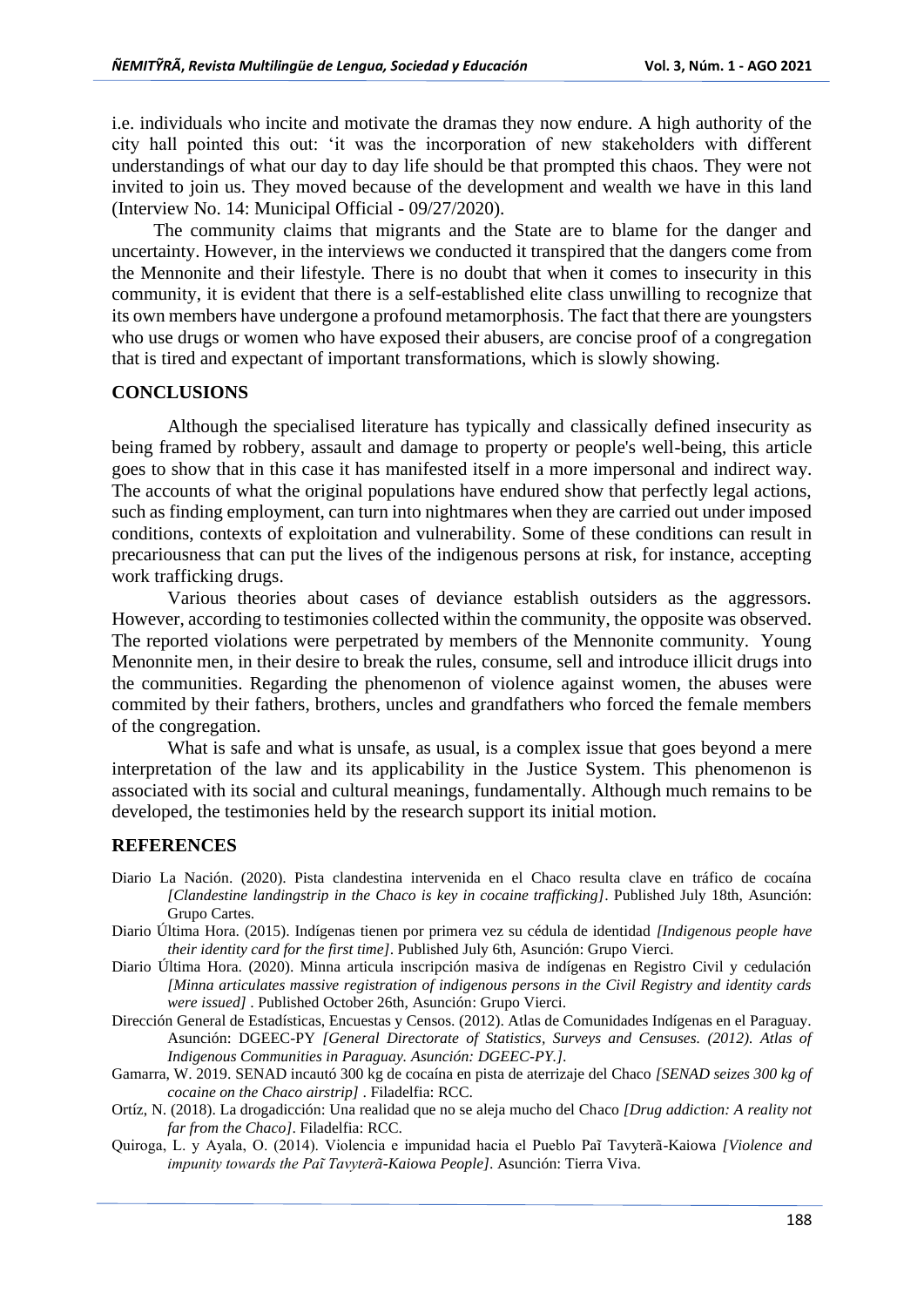i.e. individuals who incite and motivate the dramas they now endure. A high authority of the city hall pointed this out: 'it was the incorporation of new stakeholders with different understandings of what our day to day life should be that prompted this chaos. They were not invited to join us. They moved because of the development and wealth we have in this land (Interview No. 14: Municipal Official - 09/27/2020).

The community claims that migrants and the State are to blame for the danger and uncertainty. However, in the interviews we conducted it transpired that the dangers come from the Mennonite and their lifestyle. There is no doubt that when it comes to insecurity in this community, it is evident that there is a self-established elite class unwilling to recognize that its own members have undergone a profound metamorphosis. The fact that there are youngsters who use drugs or women who have exposed their abusers, are concise proof of a congregation that is tired and expectant of important transformations, which is slowly showing.

## **CONCLUSIONS**

Although the specialised literature has typically and classically defined insecurity as being framed by robbery, assault and damage to property or people's well-being, this article goes to show that in this case it has manifested itself in a more impersonal and indirect way. The accounts of what the original populations have endured show that perfectly legal actions, such as finding employment, can turn into nightmares when they are carried out under imposed conditions, contexts of exploitation and vulnerability. Some of these conditions can result in precariousness that can put the lives of the indigenous persons at risk, for instance, accepting work trafficking drugs.

Various theories about cases of deviance establish outsiders as the aggressors. However, according to testimonies collected within the community, the opposite was observed. The reported violations were perpetrated by members of the Mennonite community. Young Menonnite men, in their desire to break the rules, consume, sell and introduce illicit drugs into the communities. Regarding the phenomenon of violence against women, the abuses were commited by their fathers, brothers, uncles and grandfathers who forced the female members of the congregation.

What is safe and what is unsafe, as usual, is a complex issue that goes beyond a mere interpretation of the law and its applicability in the Justice System. This phenomenon is associated with its social and cultural meanings, fundamentally. Although much remains to be developed, the testimonies held by the research support its initial motion.

# **REFERENCES**

- Diario La Nación. (2020). Pista clandestina intervenida en el Chaco resulta clave en tráfico de cocaína *[Clandestine landingstrip in the Chaco is key in cocaine trafficking]*. Published July 18th, Asunción: Grupo Cartes.
- Diario Última Hora. (2015). Indígenas tienen por primera vez su cédula de identidad *[Indigenous people have their identity card for the first time]*. Published July 6th, Asunción: Grupo Vierci.
- Diario Última Hora. (2020). Minna articula inscripción masiva de indígenas en Registro Civil y cedulación *[Minna articulates massive registration of indigenous persons in the Civil Registry and identity cards were issued]* . Published October 26th, Asunción: Grupo Vierci.
- Dirección General de Estadísticas, Encuestas y Censos. (2012). Atlas de Comunidades Indígenas en el Paraguay. Asunción: DGEEC-PY *[General Directorate of Statistics, Surveys and Censuses. (2012). Atlas of Indigenous Communities in Paraguay. Asunción: DGEEC-PY.]*.
- Gamarra, W. 2019. SENAD incautó 300 kg de cocaína en pista de aterrizaje del Chaco *[SENAD seizes 300 kg of cocaine on the Chaco airstrip]* . Filadelfia: RCC.
- Ortíz, N. (2018). La drogadicción: Una realidad que no se aleja mucho del Chaco *[Drug addiction: A reality not far from the Chaco]*. Filadelfia: RCC.
- Quiroga, L. y Ayala, O. (2014). Violencia e impunidad hacia el Pueblo Paĩ Tavyterã-Kaiowa *[Violence and impunity towards the Paĩ Tavyterã-Kaiowa People]*. Asunción: Tierra Viva.